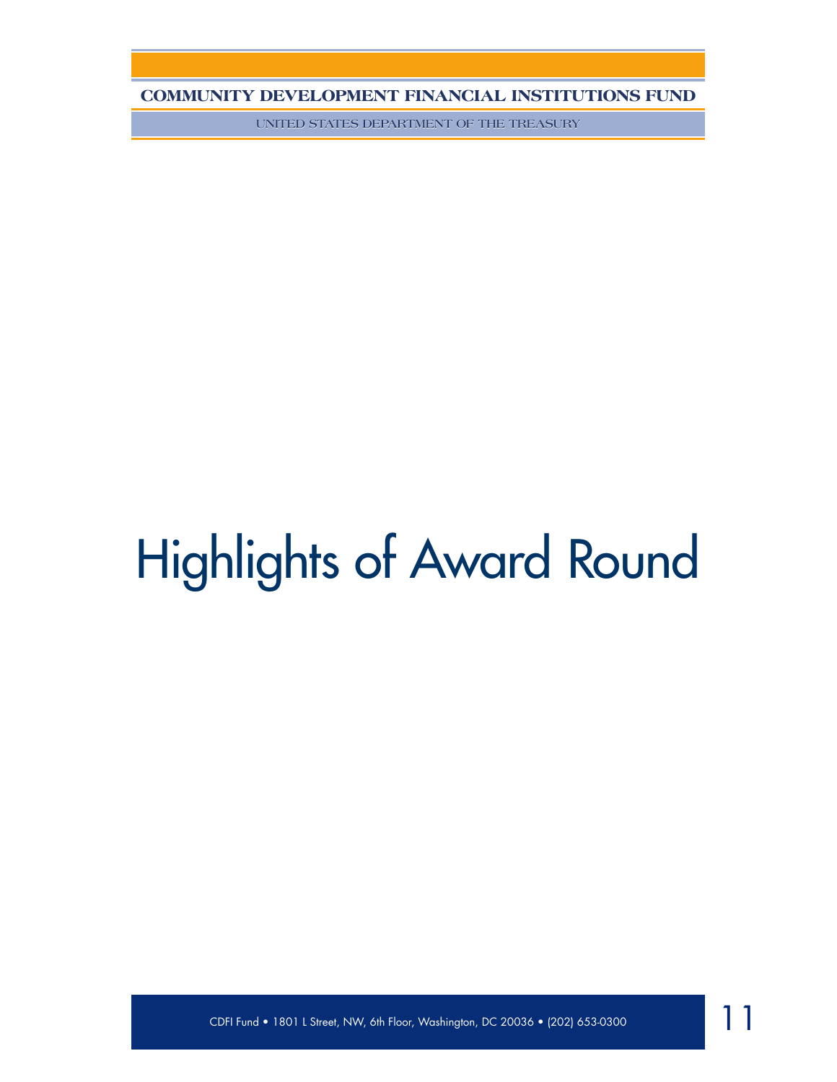**UNITED STATES DEPARTMENT OF THE TREASURY**

# Highlights of Award Round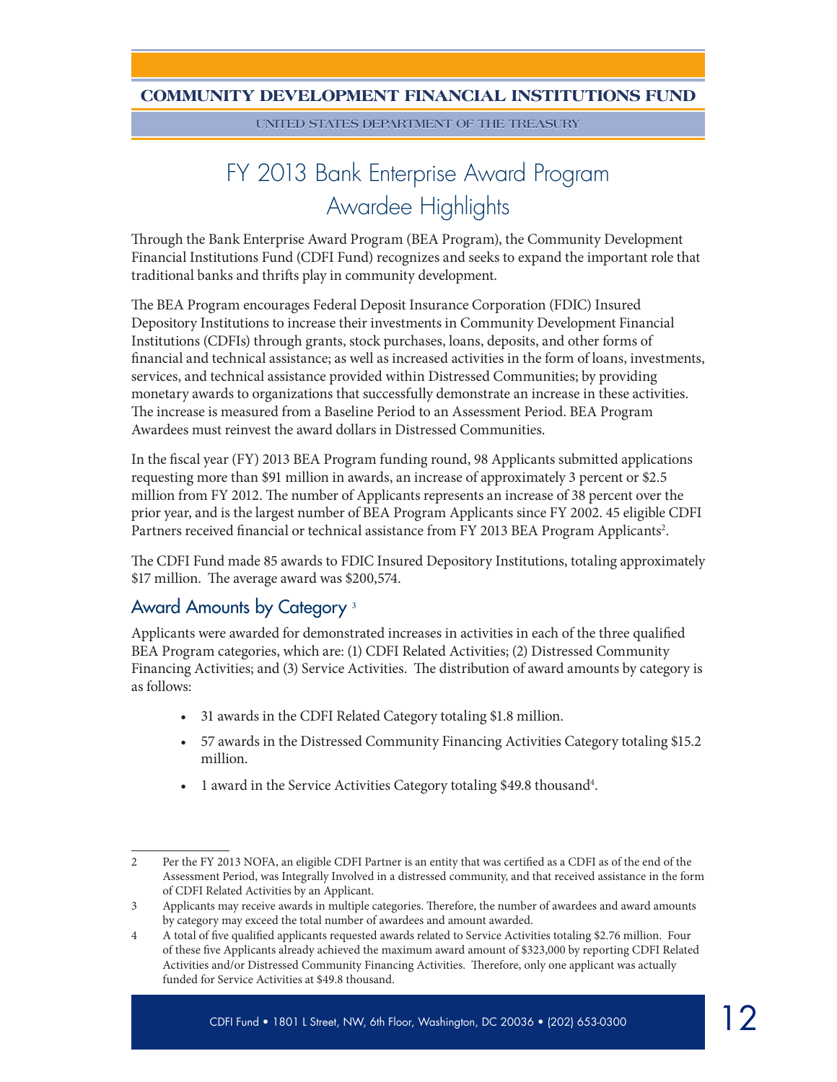**UNITED STATES DEPARTMENT OF THE TREASURY**

# FY 2013 Bank Enterprise Award Program Awardee Highlights

Through the Bank Enterprise Award Program (BEA Program), the Community Development Financial Institutions Fund (CDFI Fund) recognizes and seeks to expand the important role that traditional banks and thrifts play in community development.

The BEA Program encourages Federal Deposit Insurance Corporation (FDIC) Insured Depository Institutions to increase their investments in Community Development Financial Institutions (CDFIs) through grants, stock purchases, loans, deposits, and other forms of financial and technical assistance; as well as increased activities in the form of loans, investments, services, and technical assistance provided within Distressed Communities; by providing monetary awards to organizations that successfully demonstrate an increase in these activities. The increase is measured from a Baseline Period to an Assessment Period. BEA Program Awardees must reinvest the award dollars in Distressed Communities.

In the fiscal year (FY) 2013 BEA Program funding round, 98 Applicants submitted applications requesting more than \$91 million in awards, an increase of approximately 3 percent or \$2.5 million from FY 2012. The number of Applicants represents an increase of 38 percent over the prior year, and is the largest number of BEA Program Applicants since FY 2002. 45 eligible CDFI Partners received financial or technical assistance from FY 2013 BEA Program Applicants<sup>2</sup>.

The CDFI Fund made 85 awards to FDIC Insured Depository Institutions, totaling approximately \$17 million. The average award was \$200,574.

# Award Amounts by Category <sup>3</sup>

Applicants were awarded for demonstrated increases in activities in each of the three qualified BEA Program categories, which are: (1) CDFI Related Activities; (2) Distressed Community Financing Activities; and (3) Service Activities. The distribution of award amounts by category is as follows:

- • 31 awards in the CDFI Related Category totaling \$1.8 million.
- • 57 awards in the Distressed Community Financing Activities Category totaling \$15.2 million.
- 1 award in the Service Activities Category totaling \$49.8 thousand<sup>4</sup>.

<sup>2</sup> Per the FY 2013 NOFA, an eligible CDFI Partner is an entity that was certified as a CDFI as of the end of the Assessment Period, was Integrally Involved in a distressed community, and that received assistance in the form of CDFI Related Activities by an Applicant.

<sup>3</sup> Applicants may receive awards in multiple categories. Therefore, the number of awardees and award amounts by category may exceed the total number of awardees and amount awarded.

<sup>4</sup> A total of five qualified applicants requested awards related to Service Activities totaling \$2.76 million. Four of these five Applicants already achieved the maximum award amount of \$323,000 by reporting CDFI Related Activities and/or Distressed Community Financing Activities. Therefore, only one applicant was actually funded for Service Activities at \$49.8 thousand.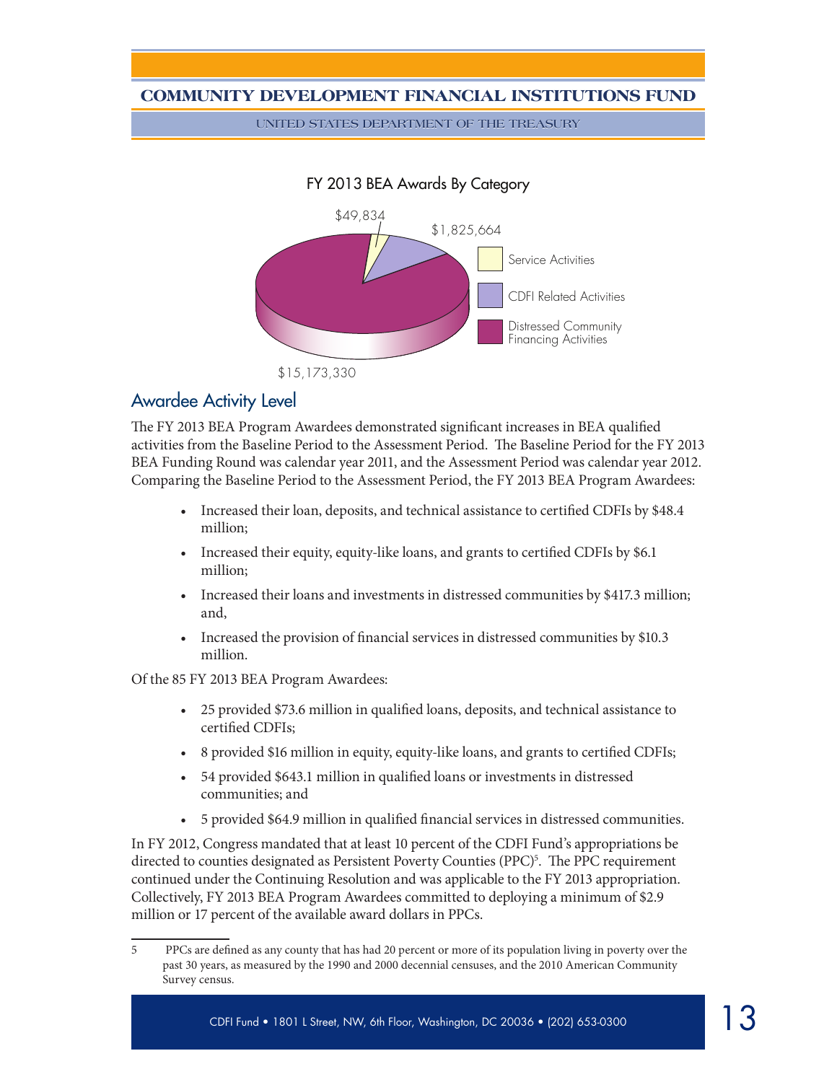**UNITED STATES DEPARTMENT OF THE TREASURY**

#### FY 2013 BEA Awards By Category



#### Awardee Activity Level

The FY 2013 BEA Program Awardees demonstrated significant increases in BEA qualified activities from the Baseline Period to the Assessment Period. The Baseline Period for the FY 2013 BEA Funding Round was calendar year 2011, and the Assessment Period was calendar year 2012. Comparing the Baseline Period to the Assessment Period, the FY 2013 BEA Program Awardees:

- Increased their loan, deposits, and technical assistance to certified CDFIs by \$48.4 million;
- Increased their equity, equity-like loans, and grants to certified CDFIs by \$6.1 million;
- • Increased their loans and investments in distressed communities by \$417.3 million; and,
- Increased the provision of financial services in distressed communities by \$10.3 million.

Of the 85 FY 2013 BEA Program Awardees:

- • 25 provided \$73.6 million in qualified loans, deposits, and technical assistance to certified CDFIs;
- • 8 provided \$16 million in equity, equity-like loans, and grants to certified CDFIs;
- • 54 provided \$643.1 million in qualified loans or investments in distressed communities; and
- • 5 provided \$64.9 million in qualified financial services in distressed communities.

In FY 2012, Congress mandated that at least 10 percent of the CDFI Fund's appropriations be directed to counties designated as Persistent Poverty Counties (PPC)<sup>5</sup>. The PPC requirement continued under the Continuing Resolution and was applicable to the FY 2013 appropriation. Collectively, FY 2013 BEA Program Awardees committed to deploying a minimum of \$2.9 million or 17 percent of the available award dollars in PPCs.

<sup>5</sup> PPCs are defined as any county that has had 20 percent or more of its population living in poverty over the past 30 years, as measured by the 1990 and 2000 decennial censuses, and the 2010 American Community Survey census.